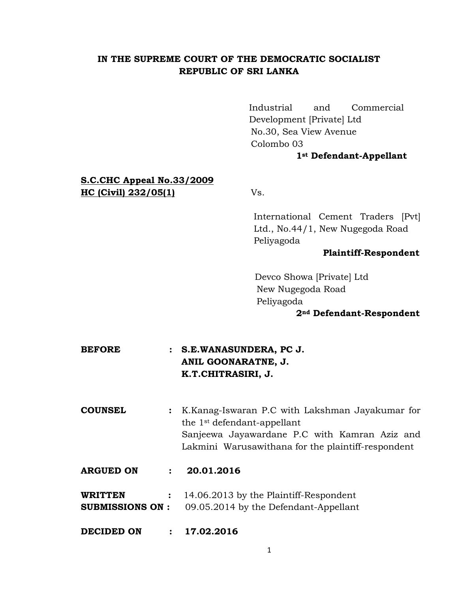# **IN THE SUPREME COURT OF THE DEMOCRATIC SOCIALIST REPUBLIC OF SRI LANKA**

Industrial and Commercial Development [Private] Ltd No.30, Sea View Avenue Colombo 03

## **1st Defendant-Appellant**

# **S.C.CHC Appeal No.33/2009 HC (Civil) 232/05(1)** Vs.

 International Cement Traders [Pvt] Ltd., No.44/1, New Nugegoda Road Peliyagoda

#### **Plaintiff-Respondent**

 Devco Showa [Private] Ltd New Nugegoda Road Peliyagoda

#### **2nd Defendant-Respondent**

# **BEFORE : S.E.WANASUNDERA, PC J. ANIL GOONARATNE, J. K.T.CHITRASIRI, J.**

**COUNSEL :** K.Kanag-Iswaran P.C with Lakshman Jayakumar for the 1st defendant-appellant Sanjeewa Jayawardane P.C with Kamran Aziz and Lakmini Warusawithana for the plaintiff-respondent

## **ARGUED ON : 20.01.2016**

**WRITTEN :** 14.06.2013 by the Plaintiff-Respondent **SUBMISSIONS ON :** 09.05.2014 by the Defendant-Appellant

**DECIDED ON : 17.02.2016**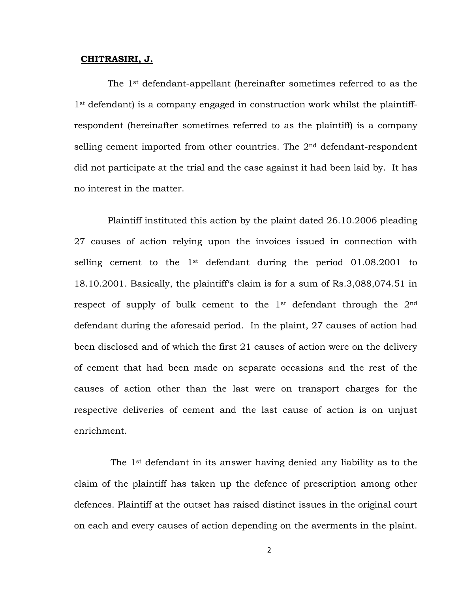#### **CHITRASIRI, J.**

The 1st defendant-appellant (hereinafter sometimes referred to as the 1st defendant) is a company engaged in construction work whilst the plaintiffrespondent (hereinafter sometimes referred to as the plaintiff) is a company selling cement imported from other countries. The  $2<sup>nd</sup>$  defendant-respondent did not participate at the trial and the case against it had been laid by. It has no interest in the matter.

Plaintiff instituted this action by the plaint dated 26.10.2006 pleading 27 causes of action relying upon the invoices issued in connection with selling cement to the 1<sup>st</sup> defendant during the period 01.08.2001 to 18.10.2001. Basically, the plaintiff's claim is for a sum of Rs.3,088,074.51 in respect of supply of bulk cement to the 1st defendant through the 2nd defendant during the aforesaid period. In the plaint, 27 causes of action had been disclosed and of which the first 21 causes of action were on the delivery of cement that had been made on separate occasions and the rest of the causes of action other than the last were on transport charges for the respective deliveries of cement and the last cause of action is on unjust enrichment.

The 1st defendant in its answer having denied any liability as to the claim of the plaintiff has taken up the defence of prescription among other defences. Plaintiff at the outset has raised distinct issues in the original court on each and every causes of action depending on the averments in the plaint.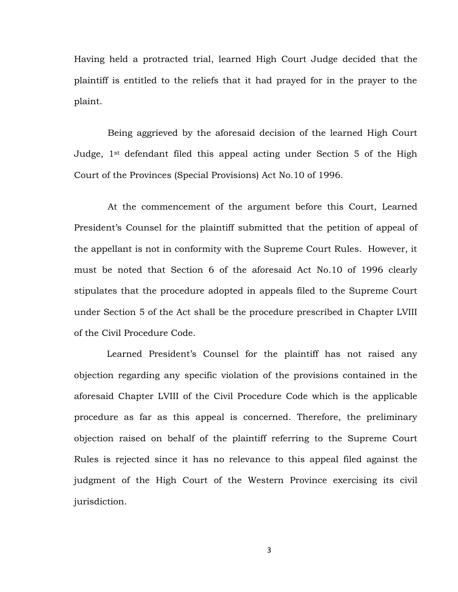Having held a protracted trial, learned High Court Judge decided that the plaintiff is entitled to the reliefs that it had prayed for in the prayer to the plaint.

Being aggrieved by the aforesaid decision of the learned High Court Judge, 1st defendant filed this appeal acting under Section 5 of the High Court of the Provinces (Special Provisions) Act No.10 of 1996.

At the commencement of the argument before this Court, Learned President's Counsel for the plaintiff submitted that the petition of appeal of the appellant is not in conformity with the Supreme Court Rules. However, it must be noted that Section 6 of the aforesaid Act No.10 of 1996 clearly stipulates that the procedure adopted in appeals filed to the Supreme Court under Section 5 of the Act shall be the procedure prescribed in Chapter LVIII of the Civil Procedure Code.

Learned President's Counsel for the plaintiff has not raised any objection regarding any specific violation of the provisions contained in the aforesaid Chapter LVIII of the Civil Procedure Code which is the applicable procedure as far as this appeal is concerned. Therefore, the preliminary objection raised on behalf of the plaintiff referring to the Supreme Court Rules is rejected since it has no relevance to this appeal filed against the judgment of the High Court of the Western Province exercising its civil jurisdiction.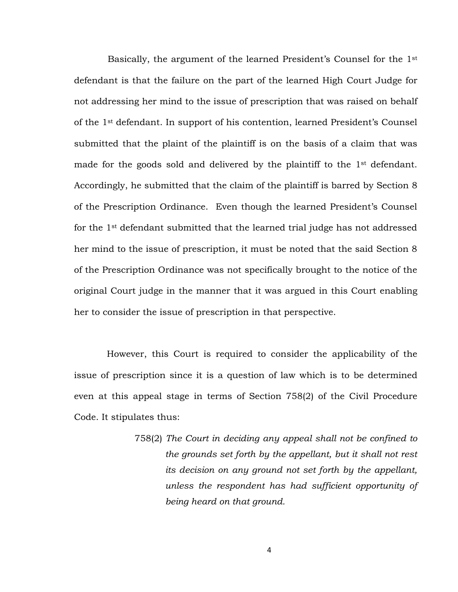Basically, the argument of the learned President's Counsel for the 1st defendant is that the failure on the part of the learned High Court Judge for not addressing her mind to the issue of prescription that was raised on behalf of the 1st defendant. In support of his contention, learned President's Counsel submitted that the plaint of the plaintiff is on the basis of a claim that was made for the goods sold and delivered by the plaintiff to the 1<sup>st</sup> defendant. Accordingly, he submitted that the claim of the plaintiff is barred by Section 8 of the Prescription Ordinance. Even though the learned President's Counsel for the 1st defendant submitted that the learned trial judge has not addressed her mind to the issue of prescription, it must be noted that the said Section 8 of the Prescription Ordinance was not specifically brought to the notice of the original Court judge in the manner that it was argued in this Court enabling her to consider the issue of prescription in that perspective.

However, this Court is required to consider the applicability of the issue of prescription since it is a question of law which is to be determined even at this appeal stage in terms of Section 758(2) of the Civil Procedure Code. It stipulates thus:

> 758(2) *The Court in deciding any appeal shall not be confined to the grounds set forth by the appellant, but it shall not rest its decision on any ground not set forth by the appellant, unless the respondent has had sufficient opportunity of being heard on that ground.*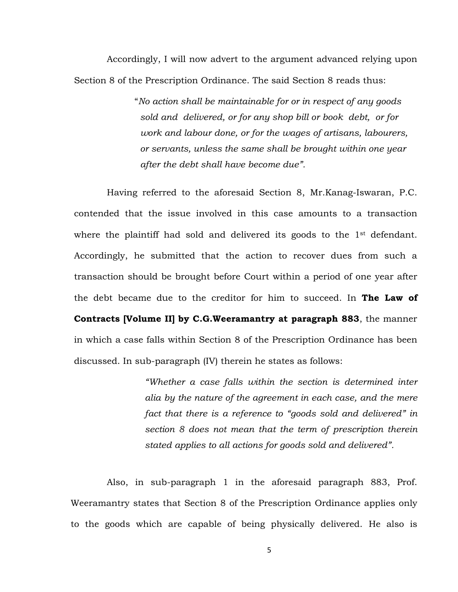Accordingly, I will now advert to the argument advanced relying upon Section 8 of the Prescription Ordinance. The said Section 8 reads thus:

> "*No action shall be maintainable for or in respect of any goods sold and delivered, or for any shop bill or book debt, or for work and labour done, or for the wages of artisans, labourers, or servants, unless the same shall be brought within one year after the debt shall have become due".*

Having referred to the aforesaid Section 8, Mr.Kanag-Iswaran, P.C. contended that the issue involved in this case amounts to a transaction where the plaintiff had sold and delivered its goods to the  $1<sup>st</sup>$  defendant. Accordingly, he submitted that the action to recover dues from such a transaction should be brought before Court within a period of one year after the debt became due to the creditor for him to succeed. In **The Law of Contracts [Volume II] by C.G.Weeramantry at paragraph 883**, the manner in which a case falls within Section 8 of the Prescription Ordinance has been discussed. In sub-paragraph (IV) therein he states as follows:

> *"Whether a case falls within the section is determined inter alia by the nature of the agreement in each case, and the mere fact that there is a reference to "goods sold and delivered" in section 8 does not mean that the term of prescription therein stated applies to all actions for goods sold and delivered".*

Also, in sub-paragraph 1 in the aforesaid paragraph 883, Prof. Weeramantry states that Section 8 of the Prescription Ordinance applies only to the goods which are capable of being physically delivered. He also is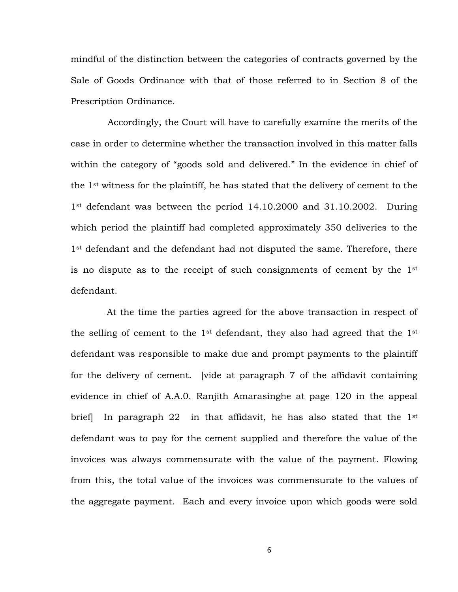mindful of the distinction between the categories of contracts governed by the Sale of Goods Ordinance with that of those referred to in Section 8 of the Prescription Ordinance.

Accordingly, the Court will have to carefully examine the merits of the case in order to determine whether the transaction involved in this matter falls within the category of "goods sold and delivered." In the evidence in chief of the 1st witness for the plaintiff, he has stated that the delivery of cement to the 1<sup>st</sup> defendant was between the period 14.10.2000 and 31.10.2002. During which period the plaintiff had completed approximately 350 deliveries to the 1<sup>st</sup> defendant and the defendant had not disputed the same. Therefore, there is no dispute as to the receipt of such consignments of cement by the 1st defendant.

At the time the parties agreed for the above transaction in respect of the selling of cement to the 1st defendant, they also had agreed that the 1st defendant was responsible to make due and prompt payments to the plaintiff for the delivery of cement. [vide at paragraph 7 of the affidavit containing evidence in chief of A.A.0. Ranjith Amarasinghe at page 120 in the appeal brief In paragraph 22 in that affidavit, he has also stated that the 1<sup>st</sup> defendant was to pay for the cement supplied and therefore the value of the invoices was always commensurate with the value of the payment. Flowing from this, the total value of the invoices was commensurate to the values of the aggregate payment. Each and every invoice upon which goods were sold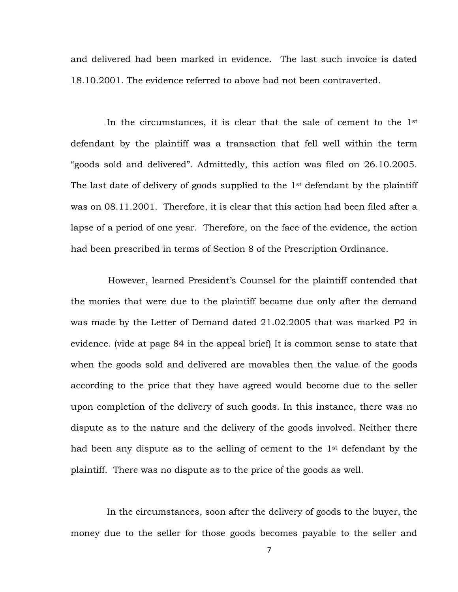and delivered had been marked in evidence. The last such invoice is dated 18.10.2001. The evidence referred to above had not been contraverted.

In the circumstances, it is clear that the sale of cement to the  $1<sup>st</sup>$ defendant by the plaintiff was a transaction that fell well within the term "goods sold and delivered". Admittedly, this action was filed on 26.10.2005. The last date of delivery of goods supplied to the 1<sup>st</sup> defendant by the plaintiff was on 08.11.2001. Therefore, it is clear that this action had been filed after a lapse of a period of one year. Therefore, on the face of the evidence, the action had been prescribed in terms of Section 8 of the Prescription Ordinance.

 However, learned President's Counsel for the plaintiff contended that the monies that were due to the plaintiff became due only after the demand was made by the Letter of Demand dated 21.02.2005 that was marked P2 in evidence. (vide at page 84 in the appeal brief) It is common sense to state that when the goods sold and delivered are movables then the value of the goods according to the price that they have agreed would become due to the seller upon completion of the delivery of such goods. In this instance, there was no dispute as to the nature and the delivery of the goods involved. Neither there had been any dispute as to the selling of cement to the 1st defendant by the plaintiff. There was no dispute as to the price of the goods as well.

In the circumstances, soon after the delivery of goods to the buyer, the money due to the seller for those goods becomes payable to the seller and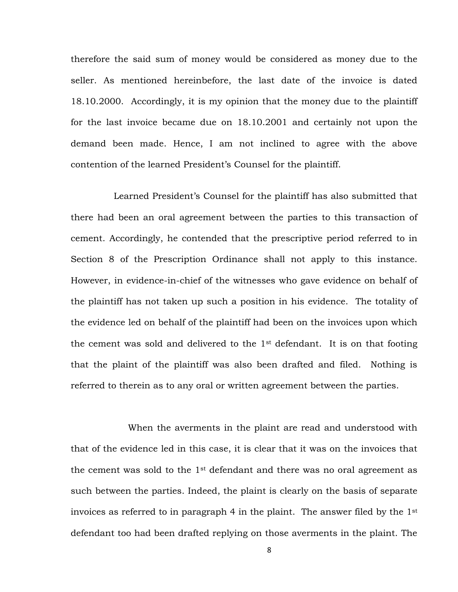therefore the said sum of money would be considered as money due to the seller. As mentioned hereinbefore, the last date of the invoice is dated 18.10.2000. Accordingly, it is my opinion that the money due to the plaintiff for the last invoice became due on 18.10.2001 and certainly not upon the demand been made. Hence, I am not inclined to agree with the above contention of the learned President's Counsel for the plaintiff.

 Learned President's Counsel for the plaintiff has also submitted that there had been an oral agreement between the parties to this transaction of cement. Accordingly, he contended that the prescriptive period referred to in Section 8 of the Prescription Ordinance shall not apply to this instance. However, in evidence-in-chief of the witnesses who gave evidence on behalf of the plaintiff has not taken up such a position in his evidence. The totality of the evidence led on behalf of the plaintiff had been on the invoices upon which the cement was sold and delivered to the  $1<sup>st</sup>$  defendant. It is on that footing that the plaint of the plaintiff was also been drafted and filed. Nothing is referred to therein as to any oral or written agreement between the parties.

When the averments in the plaint are read and understood with that of the evidence led in this case, it is clear that it was on the invoices that the cement was sold to the  $1<sup>st</sup>$  defendant and there was no oral agreement as such between the parties. Indeed, the plaint is clearly on the basis of separate invoices as referred to in paragraph 4 in the plaint. The answer filed by the 1st defendant too had been drafted replying on those averments in the plaint. The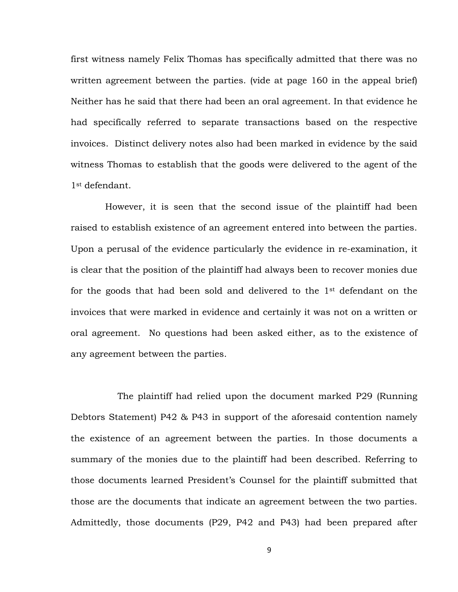first witness namely Felix Thomas has specifically admitted that there was no written agreement between the parties. (vide at page 160 in the appeal brief) Neither has he said that there had been an oral agreement. In that evidence he had specifically referred to separate transactions based on the respective invoices. Distinct delivery notes also had been marked in evidence by the said witness Thomas to establish that the goods were delivered to the agent of the 1st defendant.

 However, it is seen that the second issue of the plaintiff had been raised to establish existence of an agreement entered into between the parties. Upon a perusal of the evidence particularly the evidence in re-examination, it is clear that the position of the plaintiff had always been to recover monies due for the goods that had been sold and delivered to the 1st defendant on the invoices that were marked in evidence and certainly it was not on a written or oral agreement. No questions had been asked either, as to the existence of any agreement between the parties.

The plaintiff had relied upon the document marked P29 (Running Debtors Statement) P42 & P43 in support of the aforesaid contention namely the existence of an agreement between the parties. In those documents a summary of the monies due to the plaintiff had been described. Referring to those documents learned President's Counsel for the plaintiff submitted that those are the documents that indicate an agreement between the two parties. Admittedly, those documents (P29, P42 and P43) had been prepared after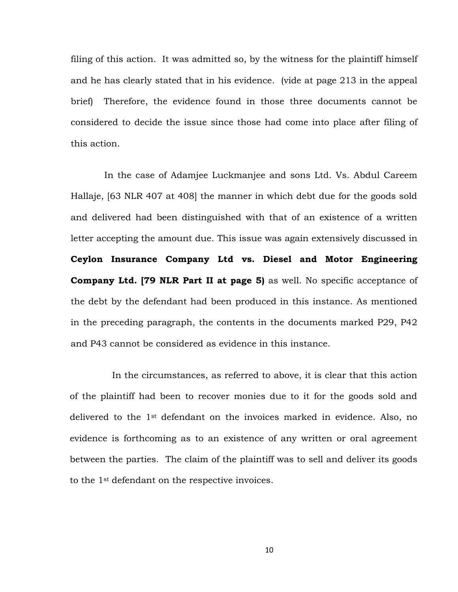filing of this action. It was admitted so, by the witness for the plaintiff himself and he has clearly stated that in his evidence. (vide at page 213 in the appeal brief) Therefore, the evidence found in those three documents cannot be considered to decide the issue since those had come into place after filing of this action.

In the case of Adamjee Luckmanjee and sons Ltd. Vs. Abdul Careem Hallaje, [63 NLR 407 at 408] the manner in which debt due for the goods sold and delivered had been distinguished with that of an existence of a written letter accepting the amount due. This issue was again extensively discussed in **Ceylon Insurance Company Ltd vs. Diesel and Motor Engineering Company Ltd. [79 NLR Part II at page 5)** as well. No specific acceptance of the debt by the defendant had been produced in this instance. As mentioned in the preceding paragraph, the contents in the documents marked P29, P42 and P43 cannot be considered as evidence in this instance.

In the circumstances, as referred to above, it is clear that this action of the plaintiff had been to recover monies due to it for the goods sold and delivered to the 1st defendant on the invoices marked in evidence. Also, no evidence is forthcoming as to an existence of any written or oral agreement between the parties. The claim of the plaintiff was to sell and deliver its goods to the 1st defendant on the respective invoices.